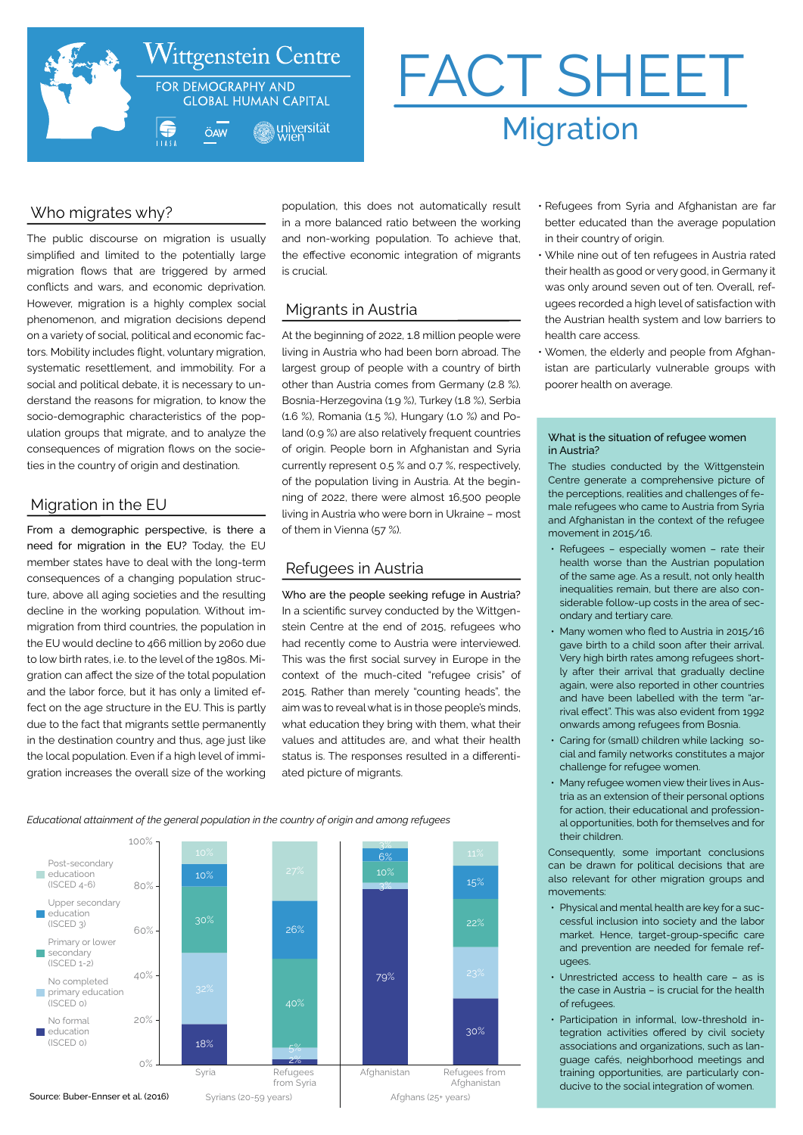

# FACT SHEET Migration

# Who migrates why?

The public discourse on migration is usually simplified and limited to the potentially large migration flows that are triggered by armed conflicts and wars, and economic deprivation. However, migration is a highly complex social phenomenon, and migration decisions depend on a variety of social, political and economic factors. Mobility includes flight, voluntary migration, systematic resettlement, and immobility. For a social and political debate, it is necessary to understand the reasons for migration, to know the socio-demographic characteristics of the population groups that migrate, and to analyze the consequences of migration flows on the societies in the country of origin and destination.

## Migration in the EU

From a demographic perspective, is there a need for migration in the EU? Today, the EU member states have to deal with the long-term consequences of a changing population structure, above all aging societies and the resulting decline in the working population. Without immigration from third countries, the population in the EU would decline to 466 million by 2060 due to low birth rates, i.e. to the level of the 1980s. Migration can affect the size of the total population and the labor force, but it has only a limited effect on the age structure in the EU. This is partly due to the fact that migrants settle permanently in the destination country and thus, age just like the local population. Even if a high level of immigration increases the overall size of the working population, this does not automatically result in a more balanced ratio between the working and non-working population. To achieve that, the effective economic integration of migrants is crucial.

# Migrants in Austria

At the beginning of 2022, 1.8 million people were living in Austria who had been born abroad. The largest group of people with a country of birth other than Austria comes from Germany (2.8 %). Bosnia-Herzegovina (1.9 %), Turkey (1.8 %), Serbia (1.6 %), Romania (1.5 %), Hungary (1.0 %) and Poland (0.9 %) are also relatively frequent countries of origin. People born in Afghanistan and Syria currently represent 0.5 % and 0.7 %, respectively, of the population living in Austria. At the beginning of 2022, there were almost 16,500 people living in Austria who were born in Ukraine – most of them in Vienna (57 %).

# Refugees in Austria

Who are the people seeking refuge in Austria? In a scientific survey conducted by the Wittgenstein Centre at the end of 2015, refugees who had recently come to Austria were interviewed. This was the first social survey in Europe in the context of the much-cited "refugee crisis" of 2015. Rather than merely "counting heads", the aim was to reveal what is in those people's minds, what education they bring with them, what their values and attitudes are, and what their health status is. The responses resulted in a differentiated picture of migrants.

*Educational attainment of the general population in the country of origin and among refugees*



- Refugees from Syria and Afghanistan are far better educated than the average population in their country of origin.
- While nine out of ten refugees in Austria rated their health as good or very good, in Germany it was only around seven out of ten. Overall, refugees recorded a high level of satisfaction with the Austrian health system and low barriers to health care access.
- Women, the elderly and people from Afghanistan are particularly vulnerable groups with poorer health on average.

#### What is the situation of refugee women in Austria?

The studies conducted by the Wittgenstein Centre generate a comprehensive picture of the perceptions, realities and challenges of female refugees who came to Austria from Syria and Afghanistan in the context of the refugee movement in 2015/16.

- Refugees especially women rate their health worse than the Austrian population of the same age. As a result, not only health inequalities remain, but there are also considerable follow-up costs in the area of secondary and tertiary care.
- Many women who fled to Austria in 2015/16 gave birth to a child soon after their arrival. Very high birth rates among refugees shortly after their arrival that gradually decline again, were also reported in other countries and have been labelled with the term "arrival effect". This was also evident from 1992 onwards among refugees from Bosnia.
- Caring for (small) children while lacking social and family networks constitutes a major challenge for refugee women.
- Many refugee women view their lives in Austria as an extension of their personal options for action, their educational and professional opportunities, both for themselves and for their children.

Consequently, some important conclusions can be drawn for political decisions that are also relevant for other migration groups and movements:

- Physical and mental health are key for a successful inclusion into society and the labor market. Hence, target-group-specific care and prevention are needed for female refugees.
- Unrestricted access to health care as is the case in Austria – is crucial for the health of refugees.
- Participation in informal, low-threshold integration activities offered by civil society associations and organizations, such as language cafés, neighborhood meetings and training opportunities, are particularly conducive to the social integration of women.